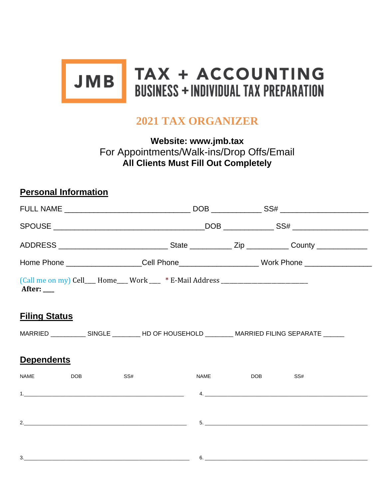

# **2021 TAX ORGANIZER**

**Website: www.jmb.tax** For Appointments/Walk-ins/Drop Offs/Email **All Clients Must Fill Out Completely**

## **Personal Information**

|                      | Home Phone ____________________Cell Phone________________________Work Phone ________________________                                                                                                                                     |     |                                                                                  |             |                                                                                                                                                                                                                                                                                      |  |
|----------------------|------------------------------------------------------------------------------------------------------------------------------------------------------------------------------------------------------------------------------------------|-----|----------------------------------------------------------------------------------|-------------|--------------------------------------------------------------------------------------------------------------------------------------------------------------------------------------------------------------------------------------------------------------------------------------|--|
| After: ___           |                                                                                                                                                                                                                                          |     | (Call me on my) Cell___ Home___ Work ___ * E-Mail Address ______________________ |             |                                                                                                                                                                                                                                                                                      |  |
| <b>Filing Status</b> |                                                                                                                                                                                                                                          |     |                                                                                  |             |                                                                                                                                                                                                                                                                                      |  |
|                      |                                                                                                                                                                                                                                          |     |                                                                                  |             | MARRIED _____________ SINGLE _________ HD OF HOUSEHOLD _________ MARRIED FILING SEPARATE _______                                                                                                                                                                                     |  |
| <b>Dependents</b>    |                                                                                                                                                                                                                                          |     |                                                                                  |             |                                                                                                                                                                                                                                                                                      |  |
| <b>NAME</b>          | DOB <sub>c</sub> and the set of the set of the set of the set of the set of the set of the set of the set of the set of the set of the set of the set of the set of the set of the set of the set of the set of the set of the set of th | SS# |                                                                                  | <b>NAME</b> | DOB <sub>c</sub> and the set of the set of the set of the set of the set of the set of the set of the set of the set of the set of the set of the set of the set of the set of the set of the set of the set of the set of the set of th<br>SS#                                      |  |
|                      |                                                                                                                                                                                                                                          |     |                                                                                  |             | $\sim$ 4. $\sim$ 4. $\sim$ 4. $\sim$ 4. $\sim$ 4. $\sim$ 4. $\sim$ 4. $\sim$ 4. $\sim$ 4. $\sim$ 4. $\sim$ 4. $\sim$ 4. $\sim$ 4. $\sim$ 4. $\sim$ 4. $\sim$ 4. $\sim$ 4. $\sim$ 4. $\sim$ 4. $\sim$ 4. $\sim$ 4. $\sim$ 4. $\sim$ 4. $\sim$ 4. $\sim$ 4. $\sim$ 4. $\sim$ 4. $\sim$ |  |
|                      |                                                                                                                                                                                                                                          |     |                                                                                  |             |                                                                                                                                                                                                                                                                                      |  |
|                      |                                                                                                                                                                                                                                          |     |                                                                                  |             |                                                                                                                                                                                                                                                                                      |  |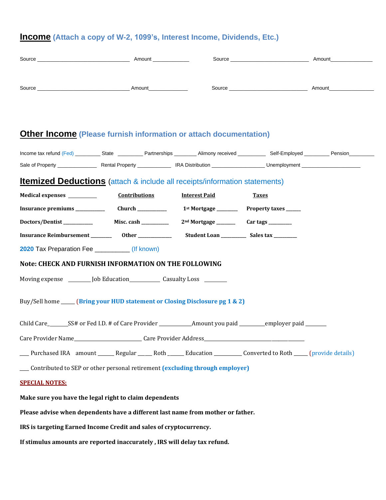#### **Income (Attach a copy of W-2, 1099's, Interest Income, Dividends, Etc.)**

| Source | Amount | Source | Amount |
|--------|--------|--------|--------|
|        |        |        |        |
| Source | Amount | Source | Amount |

#### **Other Income (Please furnish information or attach documentation)**

| Income tax refund (Fed) | State                  | Partnerships | Alimony received        | Self-Employed | Pension |
|-------------------------|------------------------|--------------|-------------------------|---------------|---------|
| Sale of Property        | <b>Rental Property</b> |              | <b>IRA Distribution</b> | Unemployment  |         |

### **Itemized Deductions** (attach & include all receipts/information statements)

| <b>Medical expenses</b>  |  |      | <b>Contributions</b> | <b>Interest Paid</b> |  | Taxes |  |
|--------------------------|--|------|----------------------|----------------------|--|-------|--|
| $\overline{\phantom{0}}$ |  | $-1$ |                      |                      |  |       |  |

**Insurance premiums \_\_\_\_\_\_\_\_\_\_\_\_\_\_ Church \_\_\_\_\_\_\_\_\_\_\_\_\_\_ 1st Mortgage \_\_\_\_\_\_\_\_\_\_ Property taxes \_\_\_\_\_\_\_**

| Doctors/Dentist                | Misc. cash | 2 <sup>nd</sup> Mortgage | Car tags  |
|--------------------------------|------------|--------------------------|-----------|
| <b>Insurance Reimbursement</b> | Other      | <b>Student Loan</b>      | Sales tax |

**2020** Tax Preparation Fee \_\_\_\_\_\_\_\_\_\_ (If known)

#### **Note: CHECK AND FURNISH INFORMATION ON THE FOLLOWING**

Moving expense \_\_\_\_\_\_\_\_\_ Job Education \_\_\_\_\_\_\_\_\_\_\_\_\_\_ Casualty Loss \_\_\_\_\_\_\_\_\_\_\_

Buy/Sell home \_\_\_\_\_\_ (**Bring your HUD statement or Closing Disclosure pg 1 & 2)**

Child Care\_\_\_\_\_\_\_SS# or Fed I.D. # of Care Provider \_\_\_\_\_\_\_\_\_\_\_\_\_\_\_\_\_Amount you paid \_\_\_\_\_\_\_\_\_\_\_\_employer paid \_\_\_\_\_\_\_

Care Provider Name\_\_\_\_\_\_\_\_\_\_\_\_\_\_\_\_\_\_\_\_\_\_\_\_\_\_\_\_\_\_Care Provider Address\_\_\_\_\_

\_\_\_\_ Purchased IRA amount \_\_\_\_\_\_\_ Regular \_\_\_\_\_\_ Roth \_\_\_\_\_\_\_ Education \_\_\_\_\_\_\_\_\_\_\_\_ Converted to Roth \_\_\_\_\_\_ (provide details)

\_\_\_\_ Contributed to SEP or other personal retirement **(excluding through employer)**

#### **SPECIAL NOTES:**

**Make sure you have the legal right to claim dependents**

**Please advise when dependents have a different last name from mother or father.**

**IRS is targeting Earned Income Credit and sales of cryptocurrency.**

**If stimulus amounts are reported inaccurately , IRS will delay tax refund.**